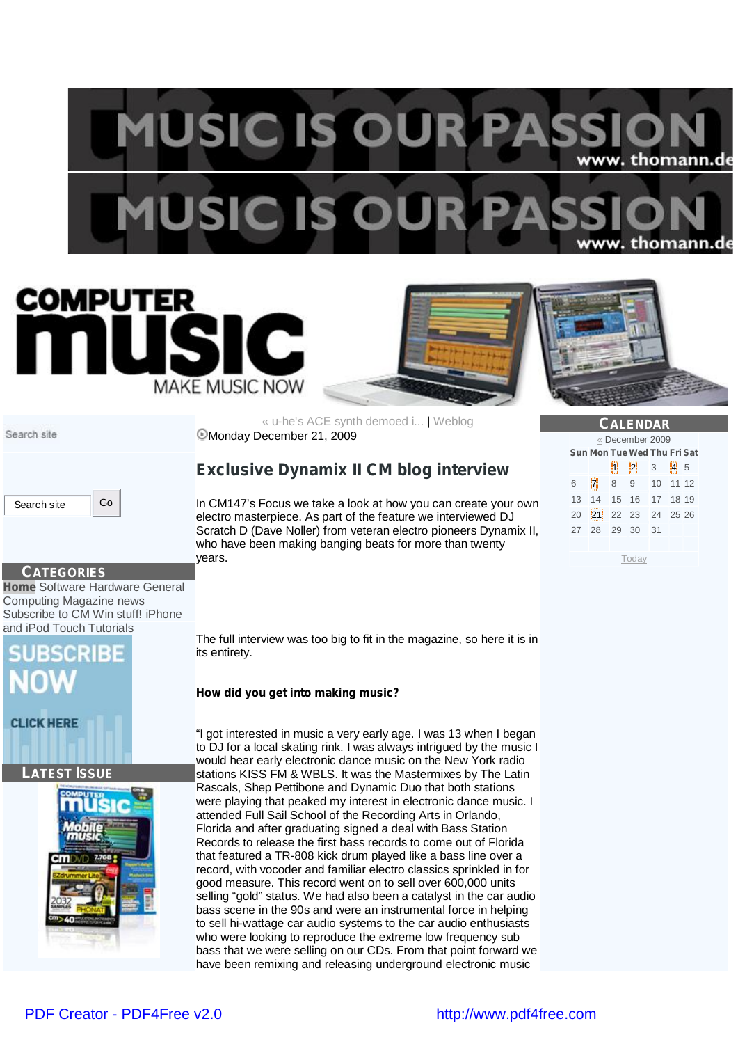## **MUSIC IS OUR P** www. thomann.de USIC IS O w. thomann.de







**CALENDAR** « December 2009 **Sun Mon Tue Wed Thu Fri Sat** 1 2 3 4 5 6 7 8 9 10 11 12 13 14 15 16 17 18 19 20 21 22 23 24 25 26 27 28 29 30 31

Today

Search site

« u-he's ACE synth demoed i... | Weblog Monday December 21, 2009

### **Exclusive Dynamix II CM blog interview**

In CM147's Focus we take a look at how you can create your own electro masterpiece. As part of the feature we interviewed DJ Scratch D (Dave Noller) from veteran electro pioneers Dynamix II, who have been making banging beats for more than twenty years.

Search site Go

**CATEGORIES Home** Software Hardware General Computing Magazine news Subscribe to CM Win stuff! iPhone and iPod Touch Tutorials

# **RSCRIBE**

**CLICK HERE** 

### **LATEST ISSUE**



The full interview was too big to fit in the magazine, so here it is in its entirety.

**How did you get into making music?**

"I got interested in music a very early age. I was 13 when I began to DJ for a local skating rink. I was always intrigued by the music I would hear early electronic dance music on the New York radio stations KISS FM & WBLS. It was the Mastermixes by The Latin Rascals, Shep Pettibone and Dynamic Duo that both stations were playing that peaked my interest in electronic dance music. I attended Full Sail School of the Recording Arts in Orlando, Florida and after graduating signed a deal with Bass Station Records to release the first bass records to come out of Florida that featured a TR-808 kick drum played like a bass line over a record, with vocoder and familiar electro classics sprinkled in for good measure. This record went on to sell over 600,000 units selling "gold" status. We had also been a catalyst in the car audio bass scene in the 90s and were an instrumental force in helping to sell hi-wattage car audio systems to the car audio enthusiasts who were looking to reproduce the extreme low frequency sub bass that we were selling on our CDs. From that point forward we have been remixing and releasing underground electronic music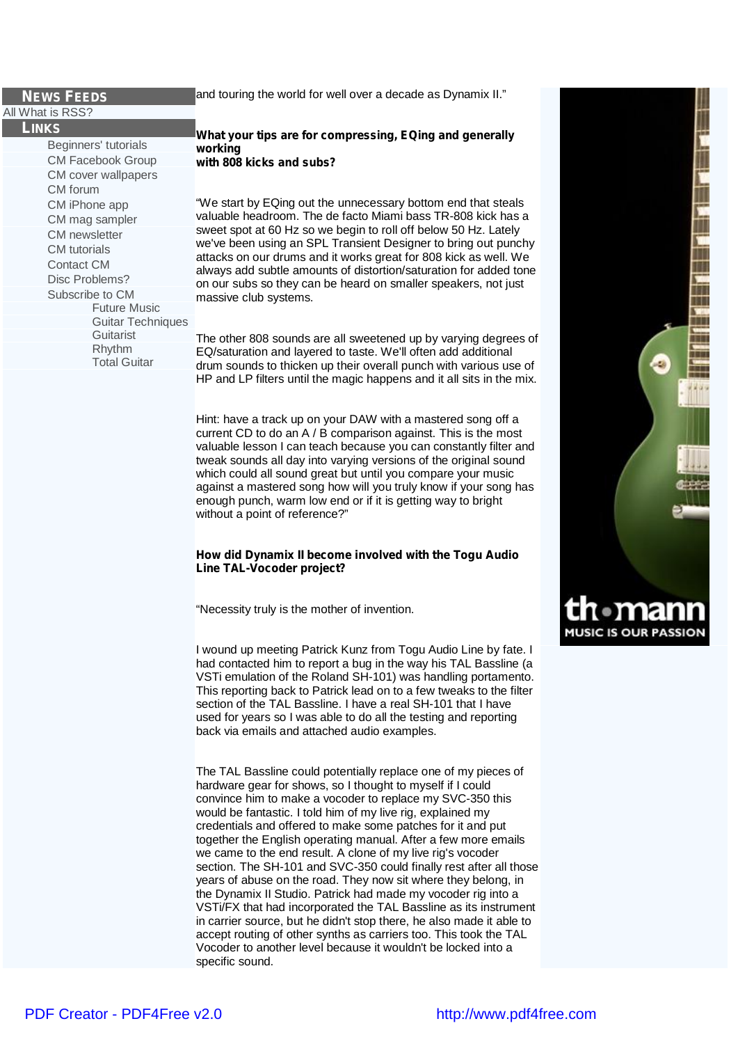### **NEWS FEEDS**

All What is RSS?

**LINKS**

Beginners' tutorials CM Facebook Group CM cover wallpapers CM forum CM iPhone app CM mag sampler CM newsletter CM tutorials Contact CM Disc Problems? Subscribe to CM Future Music Guitar Techniques **Guitarist** Rhythm Total Guitar

### and touring the world for well over a decade as Dynamix II."

**What your tips are for compressing, EQing and generally working with 808 kicks and subs?**

"We start by EQing out the unnecessary bottom end that steals valuable headroom. The de facto Miami bass TR-808 kick has a sweet spot at 60 Hz so we begin to roll off below 50 Hz. Lately we've been using an SPL Transient Designer to bring out punchy attacks on our drums and it works great for 808 kick as well. We always add subtle amounts of distortion/saturation for added tone on our subs so they can be heard on smaller speakers, not just massive club systems.

The other 808 sounds are all sweetened up by varying degrees of EQ/saturation and layered to taste. We'll often add additional drum sounds to thicken up their overall punch with various use of HP and LP filters until the magic happens and it all sits in the mix.

Hint: have a track up on your DAW with a mastered song off a current CD to do an A / B comparison against. This is the most valuable lesson I can teach because you can constantly filter and tweak sounds all day into varying versions of the original sound which could all sound great but until you compare your music against a mastered song how will you truly know if your song has enough punch, warm low end or if it is getting way to bright without a point of reference?"

**How did Dynamix II become involved with the Togu Audio Line TAL-Vocoder project?**

"Necessity truly is the mother of invention.

I wound up meeting Patrick Kunz from Togu Audio Line by fate. I had contacted him to report a bug in the way his TAL Bassline (a VSTi emulation of the Roland SH-101) was handling portamento. This reporting back to Patrick lead on to a few tweaks to the filter section of the TAL Bassline. I have a real SH-101 that I have used for years so I was able to do all the testing and reporting back via emails and attached audio examples.

The TAL Bassline could potentially replace one of my pieces of hardware gear for shows, so I thought to myself if I could convince him to make a vocoder to replace my SVC-350 this would be fantastic. I told him of my live rig, explained my credentials and offered to make some patches for it and put together the English operating manual. After a few more emails we came to the end result. A clone of my live rig's vocoder section. The SH-101 and SVC-350 could finally rest after all those years of abuse on the road. They now sit where they belong, in the Dynamix II Studio. Patrick had made my vocoder rig into a VSTi/FX that had incorporated the TAL Bassline as its instrument in carrier source, but he didn't stop there, he also made it able to accept routing of other synths as carriers too. This took the TAL Vocoder to another level because it wouldn't be locked into a specific sound.

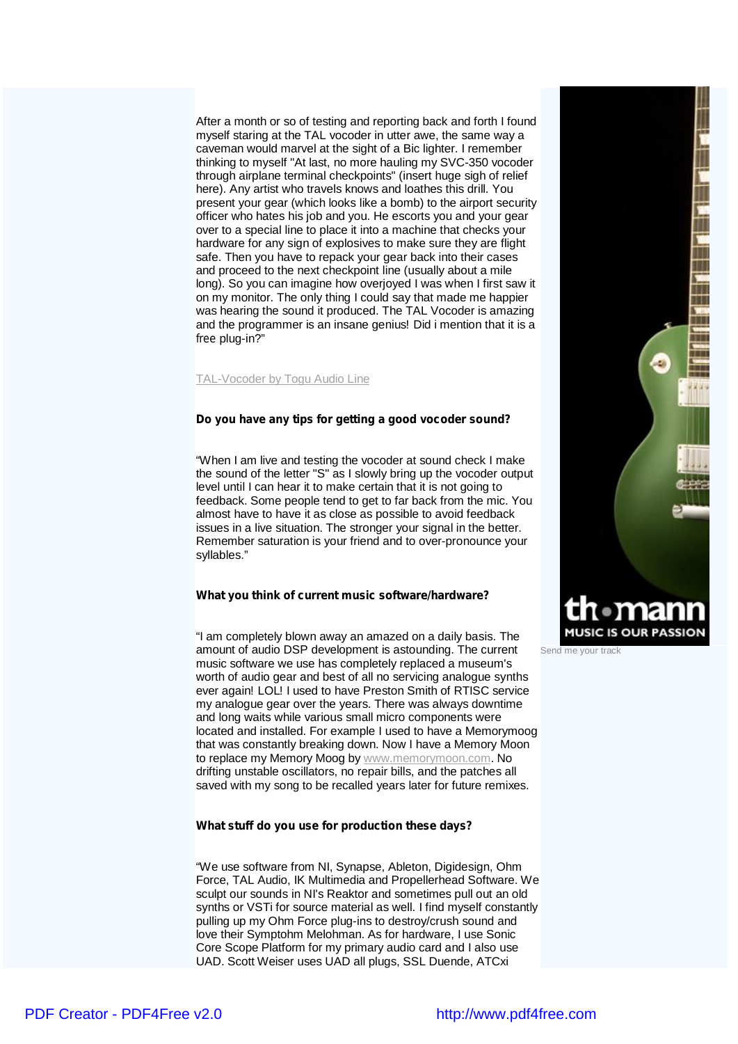After a month or so of testing and reporting back and forth I found myself staring at the TAL vocoder in utter awe, the same way a caveman would marvel at the sight of a Bic lighter. I remember thinking to myself "At last, no more hauling my SVC-350 vocoder through airplane terminal checkpoints" (insert huge sigh of relief here). Any artist who travels knows and loathes this drill. You present your gear (which looks like a bomb) to the airport security officer who hates his job and you. He escorts you and your gear over to a special line to place it into a machine that checks your hardware for any sign of explosives to make sure they are flight safe. Then you have to repack your gear back into their cases and proceed to the next checkpoint line (usually about a mile long). So you can imagine how overjoyed I was when I first saw it on my monitor. The only thing I could say that made me happier was hearing the sound it produced. The TAL Vocoder is amazing and the programmer is an insane genius! Did i mention that it is a *free* plug-in?"

TAL-Vocoder by Togu Audio Line

**Do you have any tips for getting a good vocoder sound?**

"When I am live and testing the vocoder at sound check I make the sound of the letter "S" as I slowly bring up the vocoder output level until I can hear it to make certain that it is not going to feedback. Some people tend to get to far back from the mic. You almost have to have it as close as possible to avoid feedback issues in a live situation. The stronger your signal in the better. Remember saturation is your friend and to over-pronounce your syllables."

**What you think of current music software/hardware?**

"I am completely blown away an amazed on a daily basis. The amount of audio DSP development is astounding. The current music software we use has completely replaced a museum's worth of audio gear and best of all no servicing analogue synths ever again! LOL! I used to have Preston Smith of RTISC service my analogue gear over the years. There was always downtime and long waits while various small micro components were located and installed. For example I used to have a Memorymoog that was constantly breaking down. Now I have a Memory Moon to replace my Memory Moog by [www.memorymoon.com.](http://www.memorymoon.com.) No drifting unstable oscillators, no repair bills, and the patches all saved with my song to be recalled years later for future remixes.

**What stuff do you use for production these days?**

"We use software from NI, Synapse, Ableton, Digidesign, Ohm Force, TAL Audio, IK Multimedia and Propellerhead Software. We sculpt our sounds in NI's Reaktor and sometimes pull out an old synths or VSTi for source material as well. I find myself constantly pulling up my Ohm Force plug-ins to destroy/crush sound and love their Symptohm Melohman. As for hardware, I use Sonic Core Scope Platform for my primary audio card and I also use UAD. Scott Weiser uses UAD all plugs, SSL Duende, ATCxi



Send me your track